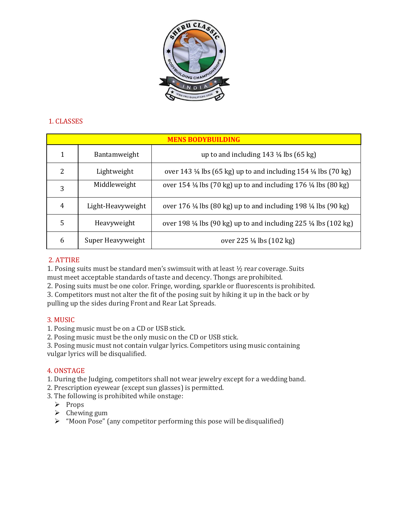

## 1. CLASSES

| <b>MENS BODYBUILDING</b> |                   |                                                                                       |
|--------------------------|-------------------|---------------------------------------------------------------------------------------|
| 1                        | Bantamweight      | up to and including $143 \frac{1}{4}$ lbs $(65 \text{ kg})$                           |
| 2                        | Lightweight       | over 143 1/4 lbs (65 kg) up to and including 154 1/4 lbs (70 kg)                      |
| 3                        | Middleweight      | over 154 1/4 lbs (70 kg) up to and including 176 1/4 lbs (80 kg)                      |
| 4                        | Light-Heavyweight | over 176 1/4 lbs (80 kg) up to and including 198 1/4 lbs (90 kg)                      |
| 5                        | Heavyweight       | over 198 $\frac{1}{4}$ lbs (90 kg) up to and including 225 $\frac{1}{4}$ lbs (102 kg) |
| 6                        | Super Heavyweight | over 225 ¼ lbs (102 kg)                                                               |

## 2. ATTIRE

1. Posing suits must be standard men's swimsuit with at least  $\frac{1}{2}$  rear coverage. Suits must meet acceptable standards of taste and decency. Thongs are prohibited.

2. Posing suits must be one color. Fringe, wording, sparkle or fluorescents isprohibited.

3. Competitors must not alter the fit of the posing suit by hiking it up in the back or by pulling up the sides during Front and Rear Lat Spreads.

### 3. MUSIC

1. Posing music must be on a CD or USB stick.

2. Posing music must be the only music on the CD or USB stick.

3. Posing music must not contain vulgar lyrics. Competitors using music containing vulgar lyrics will be disqualified.

### 4. ONSTAGE

1. During the Judging, competitors shall not wear jewelry except for a wedding band.

- 2. Prescription eyewear (except sun glasses) is permitted.
- 3. The following is prohibited while onstage:
	- $\triangleright$  Props
	- $\triangleright$  Chewing gum
	- $\triangleright$  "Moon Pose" (any competitor performing this pose will be disqualified)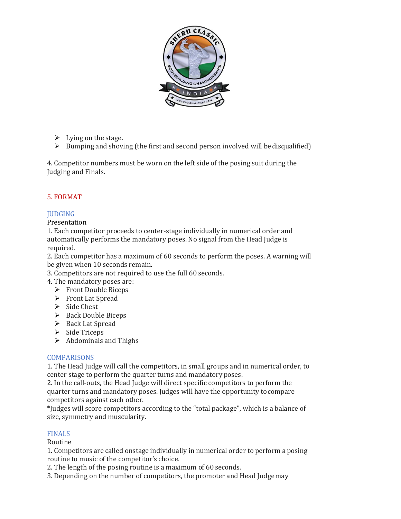

- $\triangleright$  Lying on the stage.
- $\triangleright$  Bumping and shoving (the first and second person involved will be disqualified)

4. Competitor numbers must be worn on the left side of the posing suit during the Judging and Finals.

# 5. FORMAT

# **JUDGING**

## Presentation

1. Each competitor proceeds to center-stage individually in numerical order and automatically performs the mandatory poses. No signal from the Head Judge is required.

2. Each competitor has a maximum of 60 seconds to perform the poses. A warning will be given when 10 seconds remain.

- 3. Competitors are not required to use the full 60 seconds.
- 4. The mandatory poses are:
	- Front Double Biceps
	- > Front Lat Spread
	- $\triangleright$  Side Chest
	- $\triangleright$  Back Double Biceps
	- $\triangleright$  Back Lat Spread
	- $\triangleright$  Side Triceps
	- $\triangleright$  Abdominals and Thighs

## **COMPARISONS**

1. The Head Judge will call the competitors, in small groups and in numerical order, to center stage to perform the quarter turns and mandatory poses.

2. In the call-outs, the Head Judge will direct specific competitors to perform the quarter turns and mandatory poses. Judges will have the opportunity tocompare competitors against each other.

\*Judges will score competitors according to the "total package", which is a balance of size, symmetry and muscularity.

### FINALS

### Routine

1. Competitors are called onstage individually in numerical order to perform a posing routine to music of the competitor's choice.

2. The length of the posing routine is a maximum of 60 seconds.

3. Depending on the number of competitors, the promoter and Head Judgemay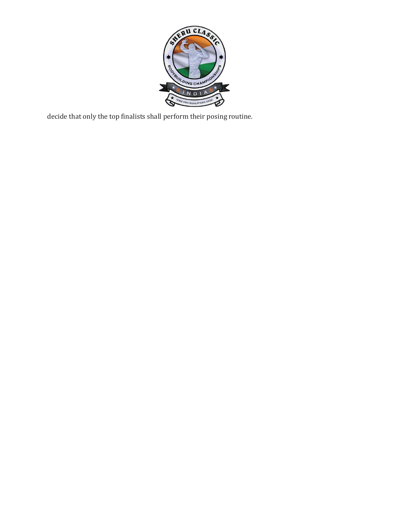

decide that only the top finalists shall perform their posing routine.